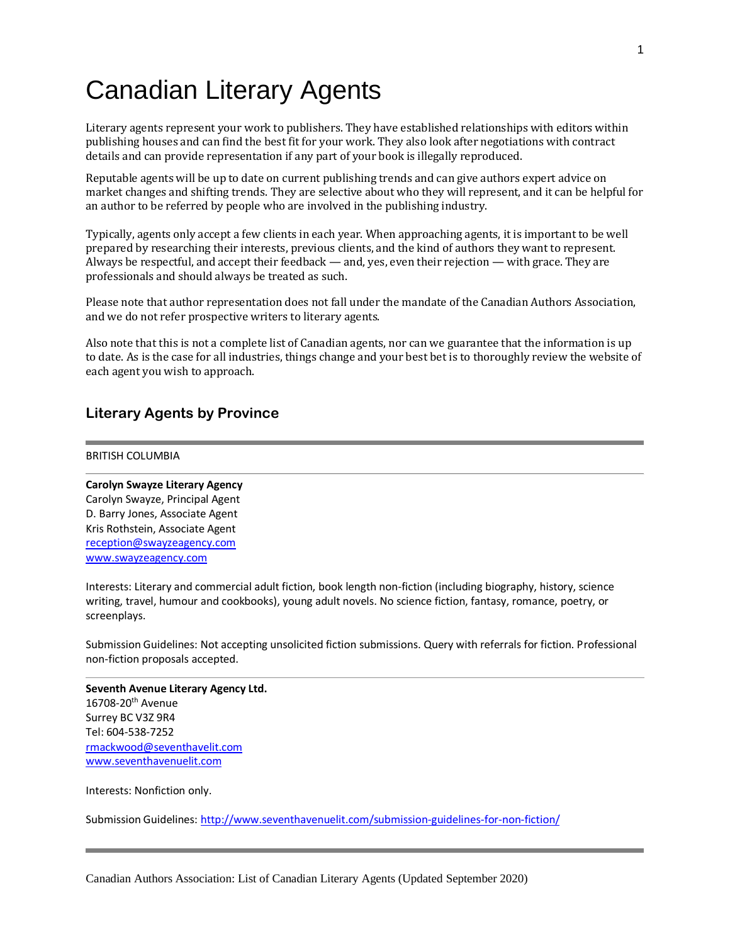# Canadian Literary Agents

Literary agents represent your work to publishers. They have established relationships with editors within publishing houses and can find the best fit for your work. They also look after negotiations with contract details and can provide representation if any part of your book is illegally reproduced.

Reputable agents will be up to date on current publishing trends and can give authors expert advice on market changes and shifting trends. They are selective about who they will represent, and it can be helpful for an author to be referred by people who are involved in the publishing industry.

Typically, agents only accept a few clients in each year. When approaching agents, it is important to be well prepared by researching their interests, previous clients, and the kind of authors they want to represent. Always be respectful, and accept their feedback — and, yes, even their rejection — with grace. They are professionals and should always be treated as such.

Please note that author representation does not fall under the mandate of the Canadian Authors Association, and we do not refer prospective writers to literary agents.

Also note that this is not a complete list of Canadian agents, nor can we guarantee that the information is up to date. As is the case for all industries, things change and your best bet is to thoroughly review the website of each agent you wish to approach.

# **Literary Agents by Province**

#### BRITISH COLUMBIA

**Carolyn Swayze Literary Agency** Carolyn Swayze, Principal Agent D. Barry Jones, Associate Agent Kris Rothstein, Associate Agent [reception@swayzeagency.com](mailto:reception@swayzeagency.com) [www.swayzeagency.com](http://www.swayzeagency.com/)

Interests: Literary and commercial adult fiction, book length non-fiction (including biography, history, science writing, travel, humour and cookbooks), young adult novels. No science fiction, fantasy, romance, poetry, or screenplays.

Submission Guidelines: Not accepting unsolicited fiction submissions. Query with referrals for fiction. Professional non-fiction proposals accepted.

**Seventh Avenue Literary Agency Ltd.** 16708-20<sup>th</sup> Avenue Surrey BC V3Z 9R4 Tel: 604-538-7252 rmackwood@seventhavelit.com [www.seventhavenuelit.com](http://www.seventhavenuelit.com/)

Interests: Nonfiction only.

Submission Guidelines:<http://www.seventhavenuelit.com/submission-guidelines-for-non-fiction/>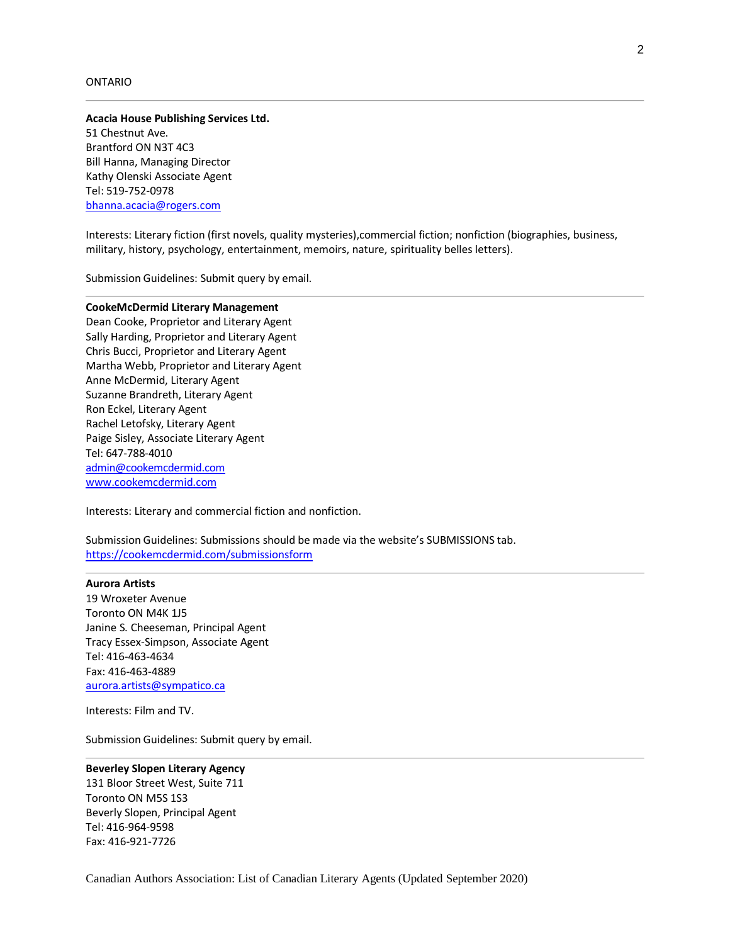#### ONTARIO

# **Acacia House Publishing Services Ltd.**

51 Chestnut Ave. Brantford ON N3T 4C3 Bill Hanna, Managing Director Kathy Olenski Associate Agent Tel: 519-752-0978 bhanna.acacia@rogers.com

Interests: Literary fiction (first novels, quality mysteries),commercial fiction; nonfiction (biographies, business, military, history, psychology, entertainment, memoirs, nature, spirituality belles letters).

Submission Guidelines: Submit query by email.

#### **CookeMcDermid Literary Management**

Dean Cooke, Proprietor and Literary Agent Sally Harding, Proprietor and Literary Agent Chris Bucci, Proprietor and Literary Agent Martha Webb, Proprietor and Literary Agent Anne McDermid, Literary Agent Suzanne Brandreth, Literary Agent Ron Eckel, Literary Agent Rachel Letofsky, Literary Agent Paige Sisley, Associate Literary Agent Tel: 647-788-4010 [admin@cookemcdermid.com](mailto:admin@cookemcdermid.com) [www.cookemcdermid.com](http://www.cookemcdermid.com/)

Interests: Literary and commercial fiction and nonfiction.

Submission Guidelines: Submissions should be made via the website's SUBMISSIONS tab. https://cookemcdermid.com/submissionsform

#### **Aurora Artists**

19 Wroxeter Avenue Toronto ON M4K 1J5 Janine S. Cheeseman, Principal Agent Tracy Essex-Simpson, Associate Agent Tel: 416-463-4634 Fax: 416-463-4889 [aurora.artists@sympatico.ca](mailto:aurora.artists@sympatico.ca) 

Interests: Film and TV.

Submission Guidelines: Submit query by email.

#### **Beverley Slopen Literary Agency**

131 Bloor Street West, Suite 711 Toronto ON M5S 1S3 Beverly Slopen, Principal Agent Tel: 416-964-9598 Fax: 416-921-7726

Canadian Authors Association: List of Canadian Literary Agents (Updated September 2020)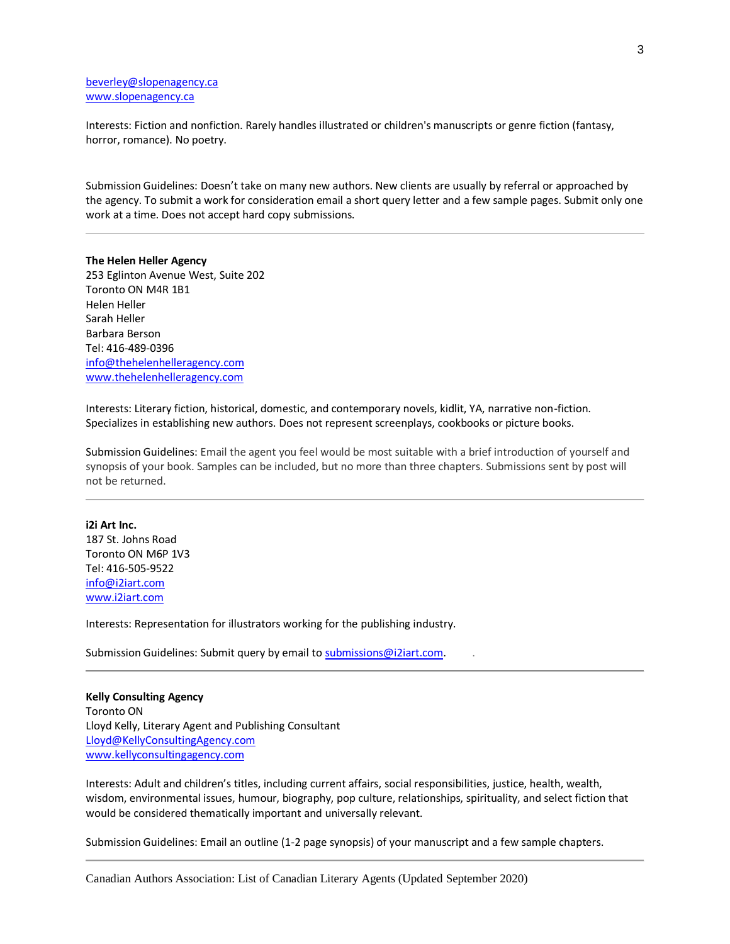## [beverley@slopenagency.ca](mailto:beverley@slopenagency.ca) [www.slopenagency.ca](http://www.slopenagency.ca/)

Interests: Fiction and nonfiction. Rarely handles illustrated or children's manuscripts or genre fiction (fantasy, horror, romance). No poetry.

Submission Guidelines: Doesn't take on many new authors. New clients are usually by referral or approached by the agency. To submit a work for consideration email a short query letter and a few sample pages. Submit only one work at a time. Does not accept hard copy submissions.

# **The Helen Heller Agency**  253 Eglinton Avenue West, Suite 202

Toronto ON M4R 1B1 Helen Heller Sarah Heller Barbara Berson Tel: 416-489-0396 [info@thehelenhelleragency.com](mailto:info@thehelenhelleragency.com)  www.thehelenhelleragency.com

Interests: Literary fiction, historical, domestic, and contemporary novels, kidlit, YA, narrative non-fiction. Specializes in establishing new authors. Does not represent screenplays, cookbooks or picture books.

Submission Guidelines: Email the agent you feel would be most suitable with a brief introduction of yourself and synopsis of your book. Samples can be included, but no more than three chapters. Submissions sent by post will not be returned.

## **i2i Art Inc.** 187 St. Johns Road Toronto ON M6P 1V3 Tel: 416-505-9522 [info@i2iart.com](mailto:info@i2iart.com)

[www.i2iart.com](http://www.i2iart.com/) 

Interests: Representation for illustrators working for the publishing industry.

Submission Guidelines: Submit query by email t[o submissions@i2iart.com.](mailto:submissions@i2iart.com)

#### **Kelly Consulting Agency**

Toronto ON Lloyd Kelly, Literary Agent and Publishing Consultant [Lloyd@KellyConsultingAgency.com](mailto:Lloyd@KellyConsultingAgency.com) [www.kellyconsultingagency.com](http://www.kellyconsultingagency.com/)

Interests: Adult and children's titles, including current affairs, social responsibilities, justice, health, wealth, wisdom, environmental issues, humour, biography, pop culture, relationships, spirituality, and select fiction that would be considered thematically important and universally relevant.

Submission Guidelines: Email an outline (1-2 page synopsis) of your manuscript and a few sample chapters.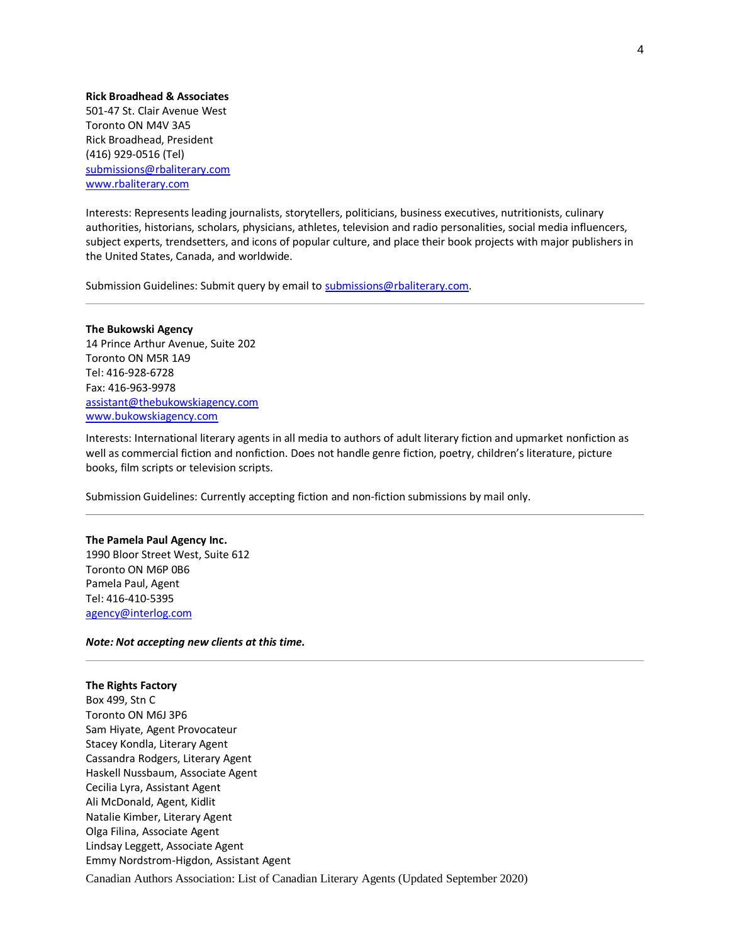#### **Rick Broadhead & Associates**

501-47 St. Clair Avenue West Toronto ON M4V 3A5 Rick Broadhead, President (416) 929-0516 (Tel) [submissions@rbaliterary.com](mailto:submissions@rbaliterary.com) [www.rbaliterary.com](http://www.rbaliterary.com/)

Interests: Represents leading journalists, storytellers, politicians, business executives, nutritionists, culinary authorities, historians, scholars, physicians, athletes, television and radio personalities, social media influencers, subject experts, trendsetters, and icons of popular culture, and place their book projects with major publishers in the United States, Canada, and worldwide.

Submission Guidelines: Submit query by email t[o submissions@rbaliterary.com.](mailto:submissions@rbaliterary.com)

**The Bukowski Agency** 14 Prince Arthur Avenue, Suite 202 Toronto ON M5R 1A9 Tel: 416-928-6728 Fax: 416-963-9978 [assistant@thebukowskiagency.com](mailto:assistant@thebukowskiagency.com)  www.bukowskiagency.com

Interests: International literary agents in all media to authors of adult literary fiction and upmarket nonfiction as well as commercial fiction and nonfiction. Does not handle genre fiction, poetry, children's literature, picture books, film scripts or television scripts.

Submission Guidelines: Currently accepting fiction and non-fiction submissions by mail only.

#### **The Pamela Paul Agency Inc.**

1990 Bloor Street West, Suite 612 Toronto ON M6P 0B6 Pamela Paul, Agent Tel: 416-410-5395 [agency@interlog.com](mailto:agency@interlog.com)

#### *Note: Not accepting new clients at this time.*

#### **The Rights Factory**

Canadian Authors Association: List of Canadian Literary Agents (Updated September 2020) Box 499, Stn C Toronto ON M6J 3P6 Sam Hiyate, Agent Provocateur Stacey Kondla, Literary Agent Cassandra Rodgers, Literary Agent Haskell Nussbaum, Associate Agent Cecilia Lyra, Assistant Agent Ali McDonald, Agent, Kidlit Natalie Kimber, Literary Agent Olga Filina, Associate Agent Lindsay Leggett, Associate Agent Emmy Nordstrom-Higdon, Assistant Agent